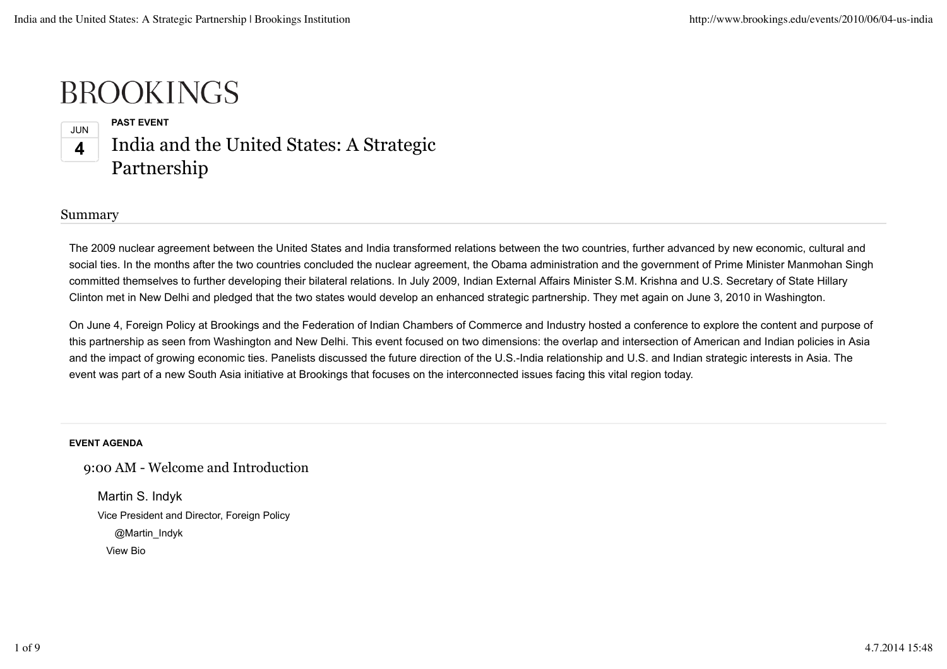# **BROOKINGS**

JUN **PAST EVENT**

## India and the United States: A Strategic Partnership

### Summary

**4**

The 2009 nuclear agreement between the United States and India transformed relations between the two countries, further advanced by new economic, cultural and social ties. In the months after the two countries concluded the nuclear agreement, the Obama administration and the government of Prime Minister Manmohan Singh committed themselves to further developing their bilateral relations. In July 2009, Indian External Affairs Minister S.M. Krishna and U.S. Secretary of State Hillary Clinton met in New Delhi and pledged that the two states would develop an enhanced strategic partnership. They met again on June 3, 2010 in Washington.

On June 4, Foreign Policy at Brookings and the Federation of Indian Chambers of Commerce and Industry hosted a conference to explore the content and purpose of this partnership as seen from Washington and New Delhi. This event focused on two dimensions: the overlap and intersection of American and Indian policies in Asia and the impact of growing economic ties. Panelists discussed the future direction of the U.S.-India relationship and U.S. and Indian strategic interests in Asia. The event was part of a new South Asia initiative at Brookings that focuses on the interconnected issues facing this vital region today.

#### **EVENT AGENDA**

9:00 AM - Welcome and Introduction

Martin S. Indyk Vice President and Director, Foreign Policy @Martin\_Indyk View Bio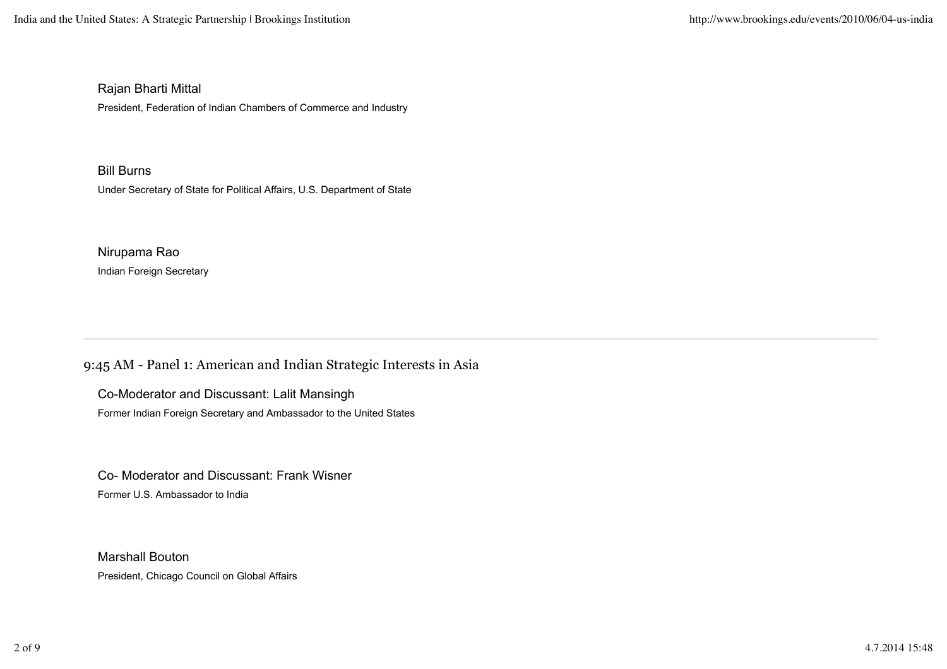Rajan Bharti Mittal President, Federation of Indian Chambers of Commerce and Industry

Bill Burns Under Secretary of State for Political Affairs, U.S. Department of State

Nirupama Rao Indian Foreign Secretary

9:45 AM - Panel 1: American and Indian Strategic Interests in Asia

Co-Moderator and Discussant: Lalit Mansingh Former Indian Foreign Secretary and Ambassador to the United States

Co- Moderator and Discussant: Frank Wisner Former U.S. Ambassador to India

Marshall Bouton President, Chicago Council on Global Affairs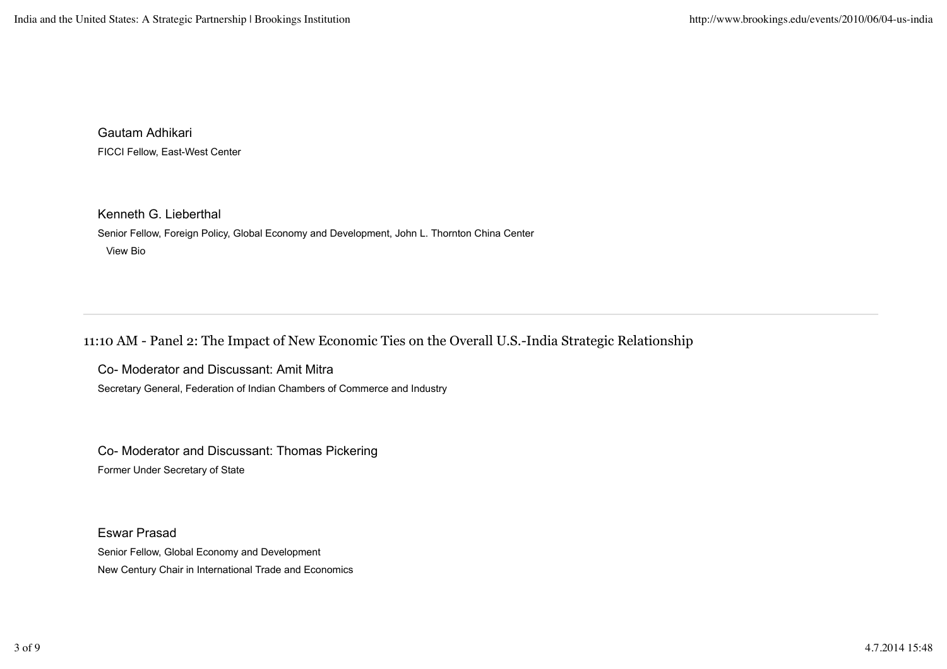Gautam Adhikari FICCI Fellow, East-West Center

Kenneth G. Lieberthal

Senior Fellow, Foreign Policy, Global Economy and Development, John L. Thornton China Center View Bio

11:10 AM - Panel 2: The Impact of New Economic Ties on the Overall U.S.-India Strategic Relationship

Co- Moderator and Discussant: Amit Mitra Secretary General, Federation of Indian Chambers of Commerce and Industry

Co- Moderator and Discussant: Thomas Pickering Former Under Secretary of State

Eswar Prasad Senior Fellow, Global Economy and Development New Century Chair in International Trade and Economics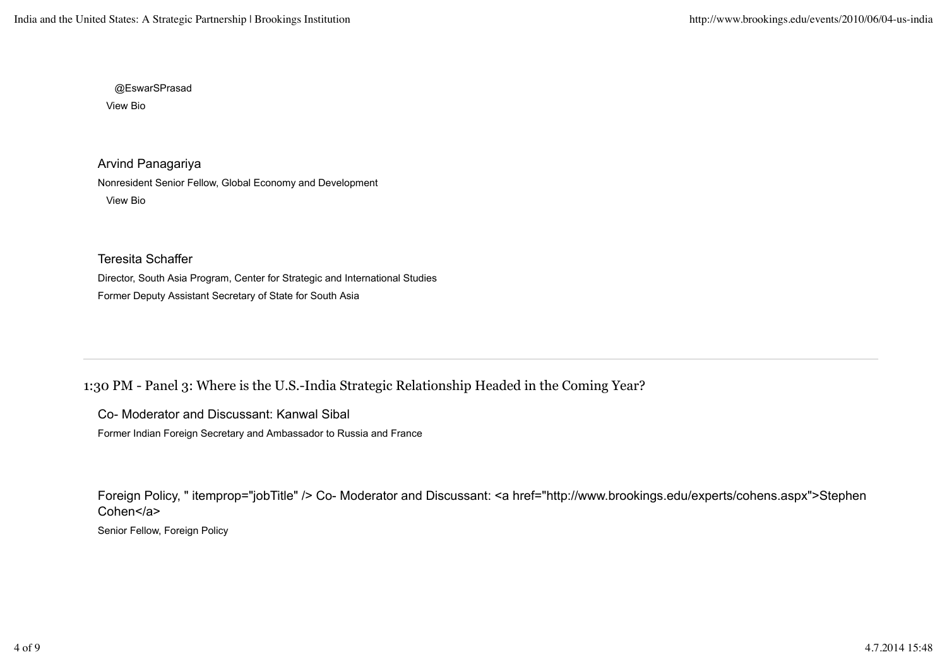@EswarSPrasad

View Bio

Arvind Panagariya Nonresident Senior Fellow, Global Economy and Development View Bio

Teresita Schaffer Director, South Asia Program, Center for Strategic and International Studies Former Deputy Assistant Secretary of State for South Asia

1:30 PM - Panel 3: Where is the U.S.-India Strategic Relationship Headed in the Coming Year?

Co- Moderator and Discussant: Kanwal Sibal

Former Indian Foreign Secretary and Ambassador to Russia and France

Foreign Policy, " itemprop="jobTitle" /> Co- Moderator and Discussant: <a href="http://www.brookings.edu/experts/cohens.aspx">Stephen Cohen</a>

Senior Fellow, Foreign Policy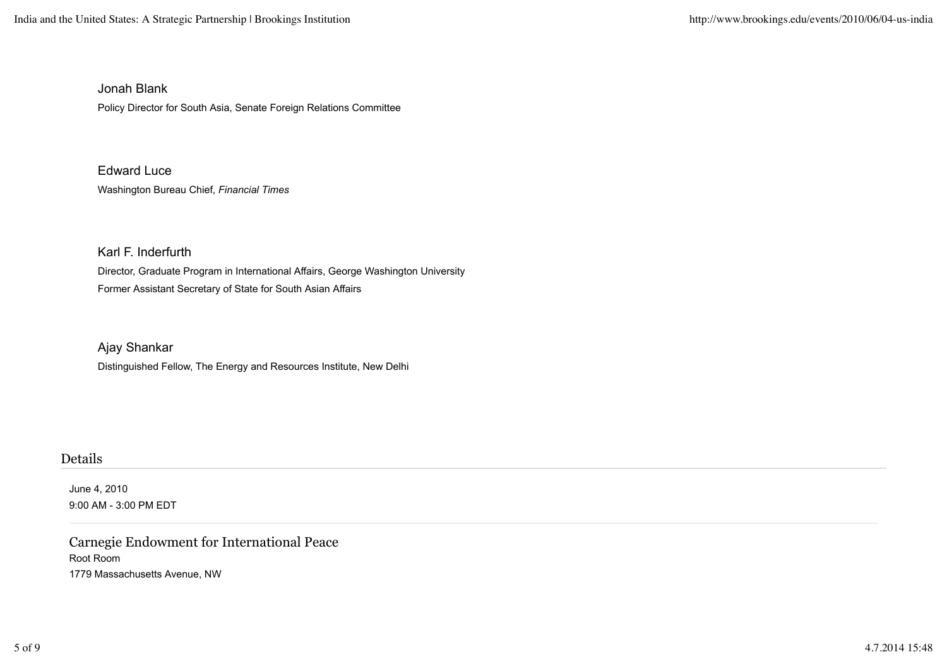Jonah Blank Policy Director for South Asia, Senate Foreign Relations Committee

Edward Luce Washington Bureau Chief, *Financial Times*

Karl F. Inderfurth Director, Graduate Program in International Affairs, George Washington University Former Assistant Secretary of State for South Asian Affairs

Ajay Shankar Distinguished Fellow, The Energy and Resources Institute, New Delhi

#### Details

June 4, 2010 9:00 AM - 3:00 PM EDT

Carnegie Endowment for International Peace Root Room 1779 Massachusetts Avenue, NW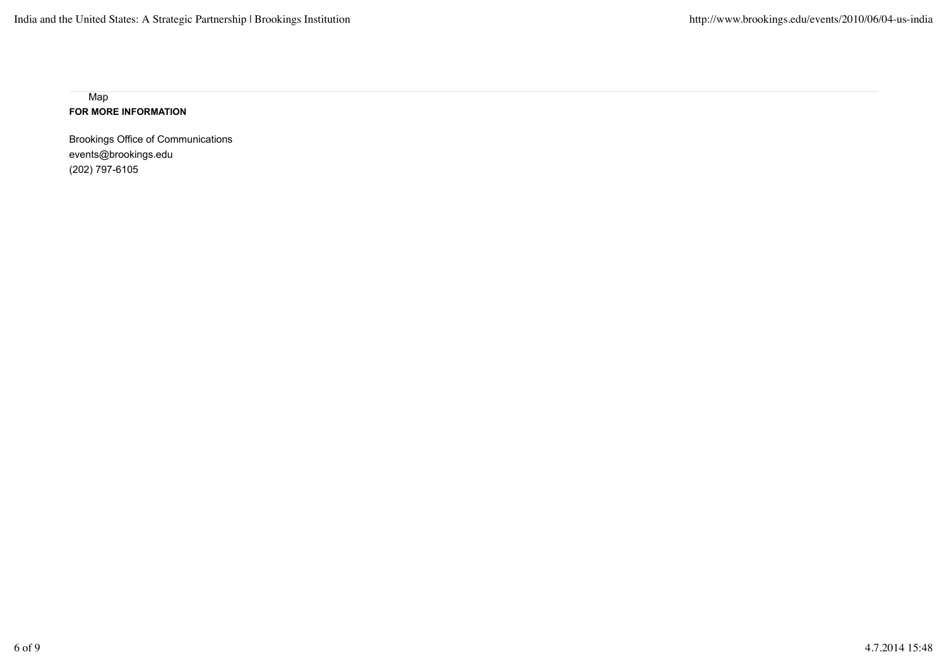Map **FOR MORE INFORMATION**

Brookings Office of Communications events@brookings.edu (202) 797-6105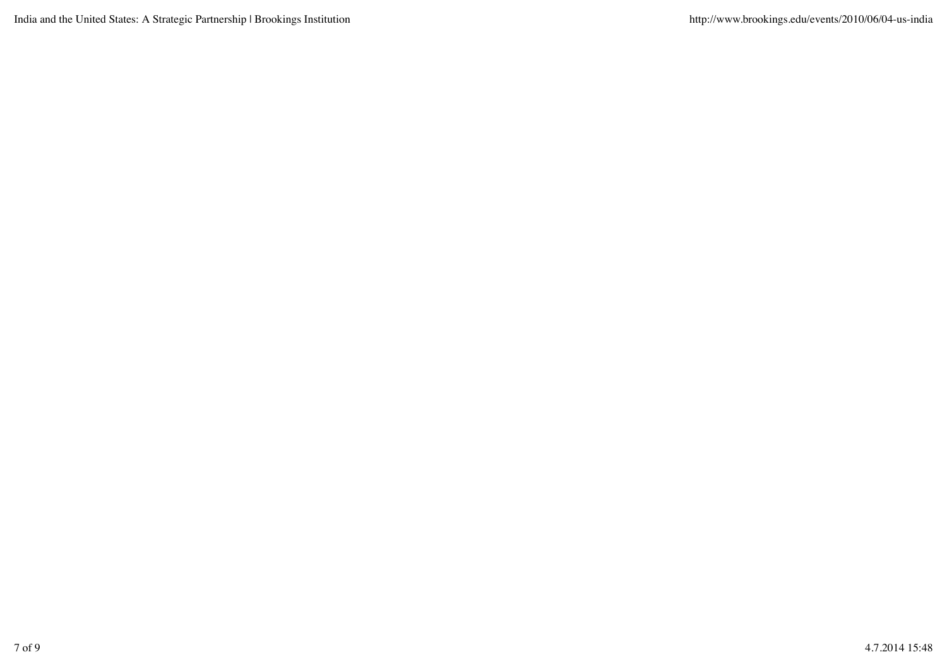India and the United States: A Strategic Partnership | Brookings Institution http://www.brookings.edu/events/2010/06/04-us-india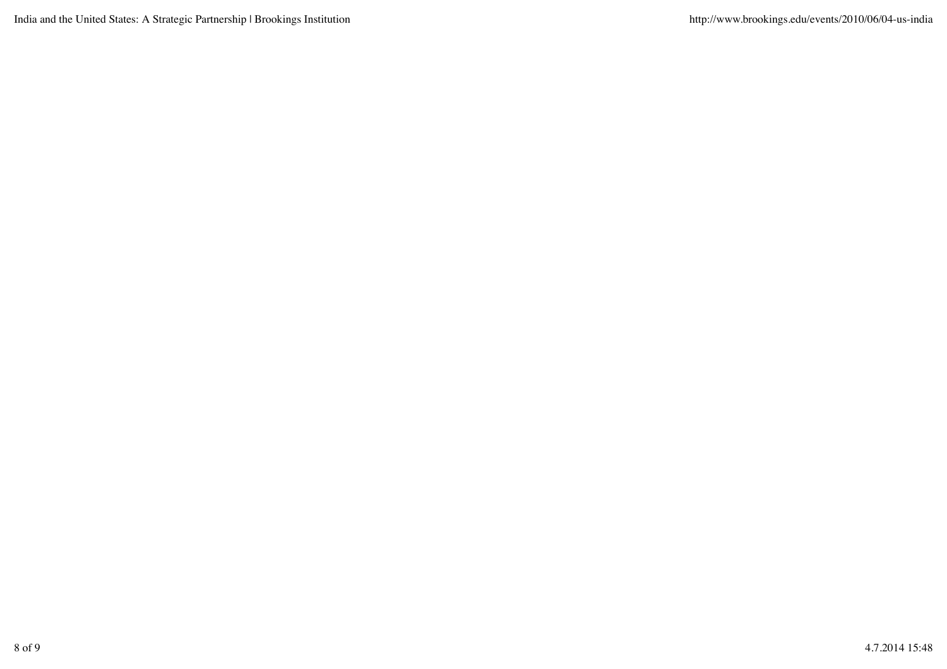India and the United States: A Strategic Partnership | Brookings Institution http://www.brookings.edu/events/2010/06/04-us-india